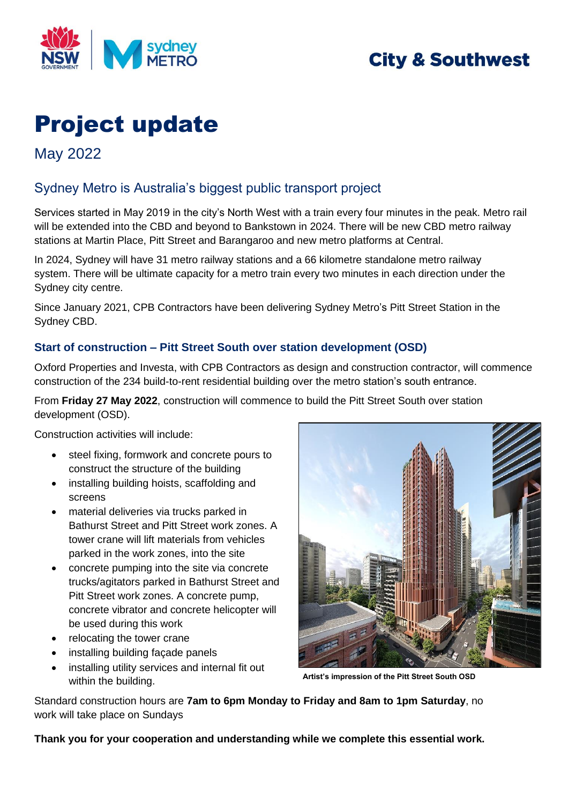

# **City & Southwest**

# Project update

May 2022

## Sydney Metro is Australia's biggest public transport project

Services started in May 2019 in the city's North West with a train every four minutes in the peak. Metro rail will be extended into the CBD and beyond to Bankstown in 2024. There will be new CBD metro railway stations at Martin Place, Pitt Street and Barangaroo and new metro platforms at Central.

In 2024, Sydney will have 31 metro railway stations and a 66 kilometre standalone metro railway system. There will be ultimate capacity for a metro train every two minutes in each direction under the Sydney city centre.

Since January 2021, CPB Contractors have been delivering Sydney Metro's Pitt Street Station in the Sydney CBD.

### **Start of construction – Pitt Street South over station development (OSD)**

Oxford Properties and Investa, with CPB Contractors as design and construction contractor, will commence construction of the 234 build-to-rent residential building over the metro station's south entrance.

From **Friday 27 May 2022**, construction will commence to build the Pitt Street South over station development (OSD).

Construction activities will include:

- steel fixing, formwork and concrete pours to construct the structure of the building
- installing building hoists, scaffolding and screens
- material deliveries via trucks parked in Bathurst Street and Pitt Street work zones. A tower crane will lift materials from vehicles parked in the work zones, into the site
- concrete pumping into the site via concrete trucks/agitators parked in Bathurst Street and Pitt Street work zones. A concrete pump, concrete vibrator and concrete helicopter will be used during this work
- relocating the tower crane
- installing building façade panels
- installing utility services and internal fit out within the building.



**Artist's impression of the Pitt Street South OSD**

Standard construction hours are **7am to 6pm Monday to Friday and 8am to 1pm Saturday**, no work will take place on Sundays

**Thank you for your cooperation and understanding while we complete this essential work.**